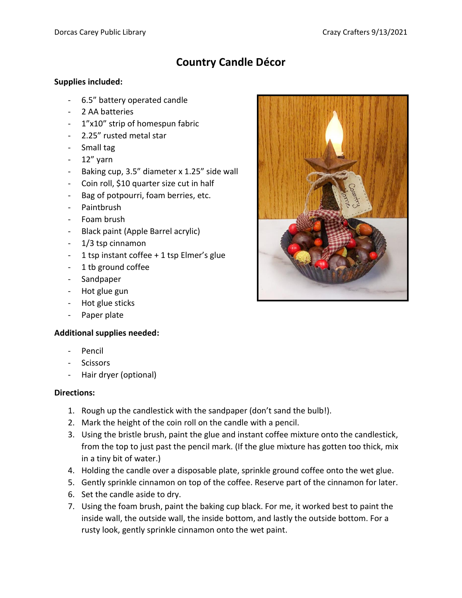## **Country Candle Décor**

## **Supplies included:**

- 6.5" battery operated candle
- 2 AA batteries
- 1"x10" strip of homespun fabric
- 2.25" rusted metal star
- Small tag
- 12" yarn
- Baking cup, 3.5" diameter x 1.25" side wall
- Coin roll, \$10 quarter size cut in half
- Bag of potpourri, foam berries, etc.
- Paintbrush
- Foam brush
- Black paint (Apple Barrel acrylic)
- 1/3 tsp cinnamon
- 1 tsp instant coffee + 1 tsp Elmer's glue
- 1 tb ground coffee
- Sandpaper
- Hot glue gun
- Hot glue sticks
- Paper plate

## **Additional supplies needed:**

- Pencil
- **Scissors**
- Hair dryer (optional)

## **Directions:**

- 1. Rough up the candlestick with the sandpaper (don't sand the bulb!).
- 2. Mark the height of the coin roll on the candle with a pencil.
- 3. Using the bristle brush, paint the glue and instant coffee mixture onto the candlestick, from the top to just past the pencil mark. (If the glue mixture has gotten too thick, mix in a tiny bit of water.)
- 4. Holding the candle over a disposable plate, sprinkle ground coffee onto the wet glue.
- 5. Gently sprinkle cinnamon on top of the coffee. Reserve part of the cinnamon for later.
- 6. Set the candle aside to dry.
- 7. Using the foam brush, paint the baking cup black. For me, it worked best to paint the inside wall, the outside wall, the inside bottom, and lastly the outside bottom. For a rusty look, gently sprinkle cinnamon onto the wet paint.